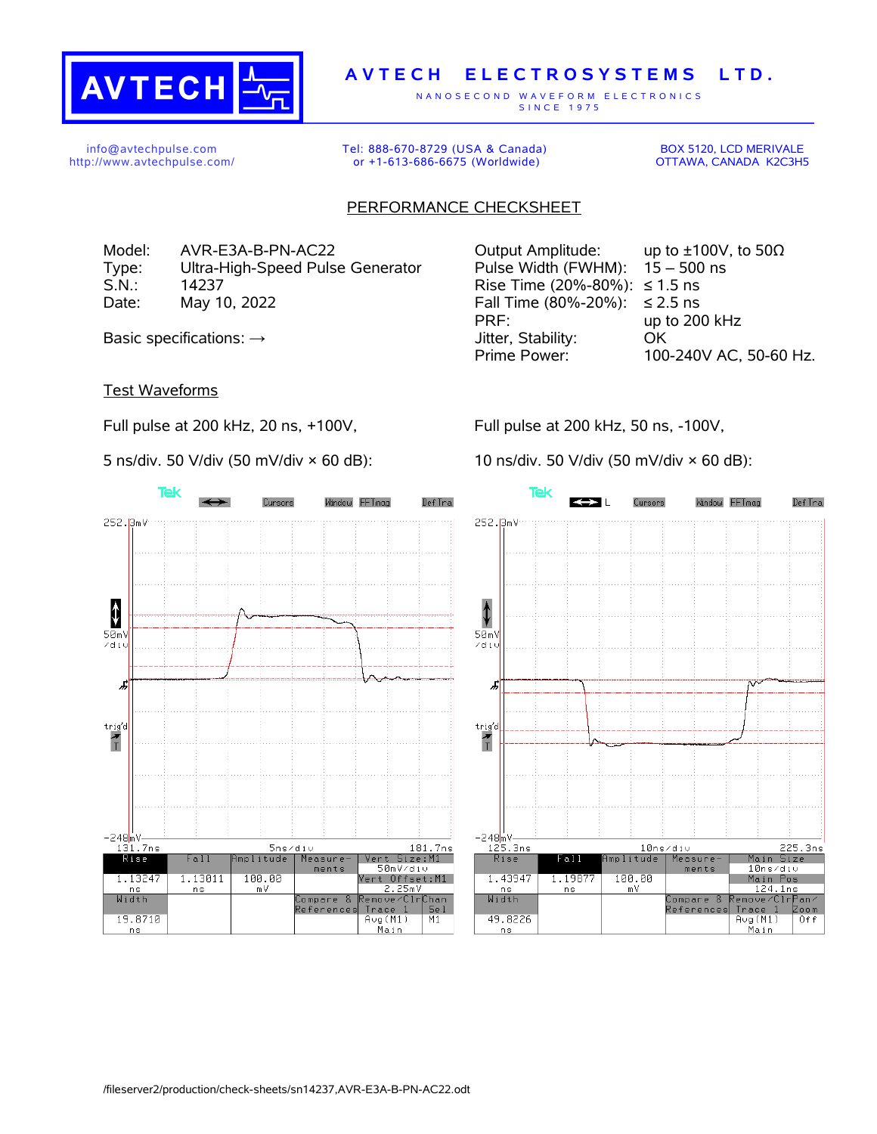

## **A V T E C H E L E C T R O S Y S T E M S L T D .**

N A N O S E C O N D W A V E F O R M E L E C T R O N I C S S IN C E 1975

info@avtechpulse.com http://www.avtechpulse.com/ Tel: 888-670-8729 (USA & Canada) or +1-613-686-6675 (Worldwide)

BOX 5120, LCD MERIVALE OTTAWA, CANADA K2C3H5

## PERFORMANCE CHECKSHEET

Model: AVR-E3A-B-PN-AC22 Output Amplitude: up to ±100V, to 50Ω Type: Ultra-High-Speed Pulse Generator Pulse Width (FWHM): 15 – 500 ns S.N.: 14237 Rise Time (20%-80%): ≤ 1.5 ns Date: May 10, 2022 Fall Time (80%-20%): ≤ 2.5 ns

Test Waveforms

Full pulse at 200 kHz, 20 ns, +100V,

5 ns/div. 50 V/div (50 mV/div × 60 dB):

PRF: up to 200 kHz Basic specifications: → Georgian Muslim Stability: Computer, Stability: Computer Stability: OK Prime Power: 100-240V AC, 50-60 Hz.

Full pulse at 200 kHz, 50 ns, -100V,

10 ns/div. 50 V/div (50 mV/div × 60 dB):



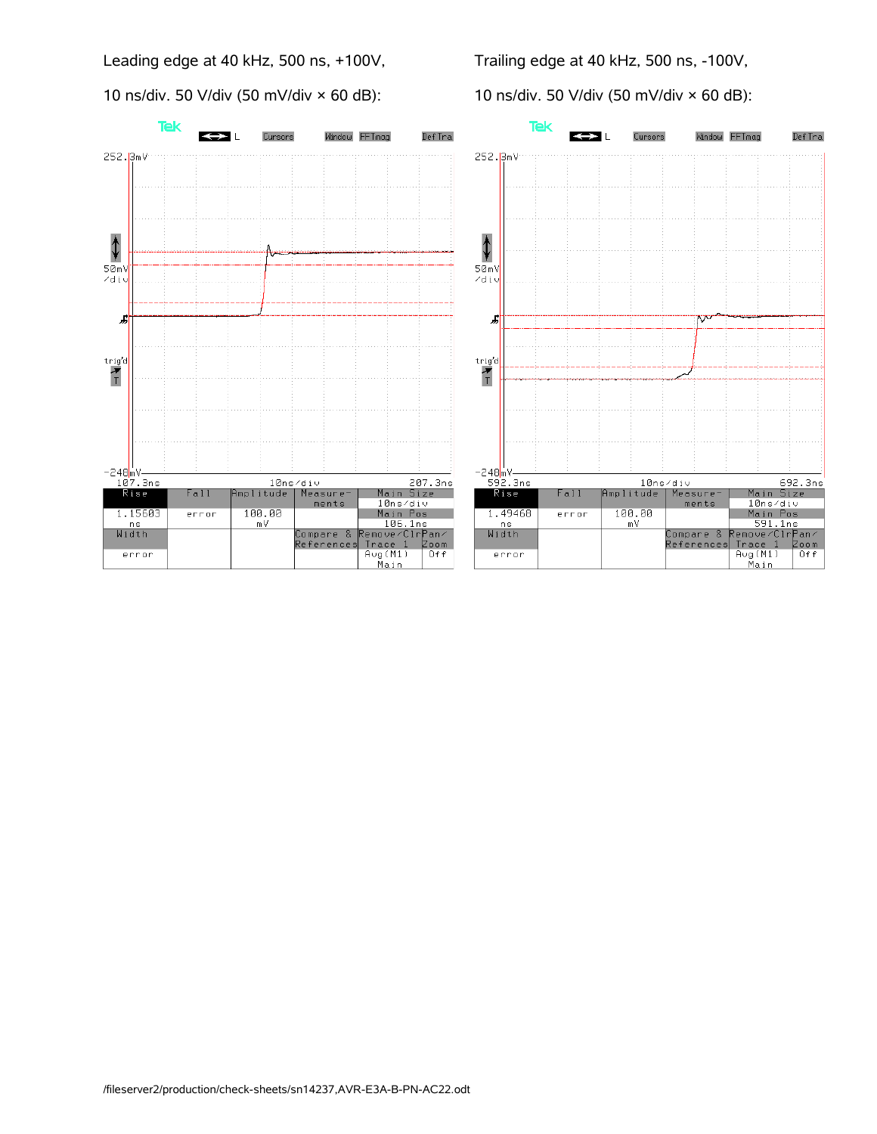Leading edge at 40 kHz, 500 ns, +100V,

10 ns/div. 50 V/div (50 mV/div  $\times$  60 dB):

Trailing edge at 40 kHz, 500 ns, -100V,

10 ns/div. 50 V/div (50 mV/div × 60 dB):